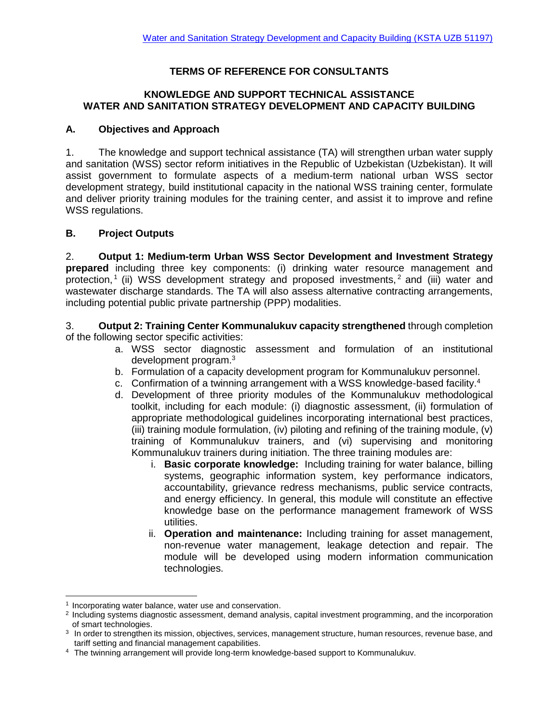# **TERMS OF REFERENCE FOR CONSULTANTS**

### **KNOWLEDGE AND SUPPORT TECHNICAL ASSISTANCE WATER AND SANITATION STRATEGY DEVELOPMENT AND CAPACITY BUILDING**

### **A. Objectives and Approach**

1. The knowledge and support technical assistance (TA) will strengthen urban water supply and sanitation (WSS) sector reform initiatives in the Republic of Uzbekistan (Uzbekistan). It will assist government to formulate aspects of a medium-term national urban WSS sector development strategy, build institutional capacity in the national WSS training center, formulate and deliver priority training modules for the training center, and assist it to improve and refine WSS regulations.

### **B. Project Outputs**

2. **Output 1: Medium-term Urban WSS Sector Development and Investment Strategy prepared** including three key components: (i) drinking water resource management and protection,<sup>1</sup> (ii) WSS development strategy and proposed investments,<sup>2</sup> and (iii) water and wastewater discharge standards. The TA will also assess alternative contracting arrangements, including potential public private partnership (PPP) modalities.

3. **Output 2: Training Center Kommunalukuv capacity strengthened** through completion of the following sector specific activities:

- a. WSS sector diagnostic assessment and formulation of an institutional development program.<sup>3</sup>
- b. Formulation of a capacity development program for Kommunalukuv personnel.
- c. Confirmation of a twinning arrangement with a WSS knowledge-based facility.<sup>4</sup>
- d. Development of three priority modules of the Kommunalukuv methodological toolkit, including for each module: (i) diagnostic assessment, (ii) formulation of appropriate methodological guidelines incorporating international best practices, (iii) training module formulation, (iv) piloting and refining of the training module, (v) training of Kommunalukuv trainers, and (vi) supervising and monitoring Kommunalukuv trainers during initiation. The three training modules are:
	- i. **Basic corporate knowledge:** Including training for water balance, billing systems, geographic information system, key performance indicators, accountability, grievance redress mechanisms, public service contracts, and energy efficiency. In general, this module will constitute an effective knowledge base on the performance management framework of WSS utilities.
	- ii. **Operation and maintenance:** Including training for asset management, non-revenue water management, leakage detection and repair. The module will be developed using modern information communication technologies.

<sup>&</sup>lt;sup>1</sup> Incorporating water balance, water use and conservation.

<sup>&</sup>lt;sup>2</sup> Including systems diagnostic assessment, demand analysis, capital investment programming, and the incorporation of smart technologies.

<sup>3</sup> In order to strengthen its mission, objectives, services, management structure, human resources, revenue base, and tariff setting and financial management capabilities.

<sup>4</sup> The twinning arrangement will provide long-term knowledge-based support to Kommunalukuv.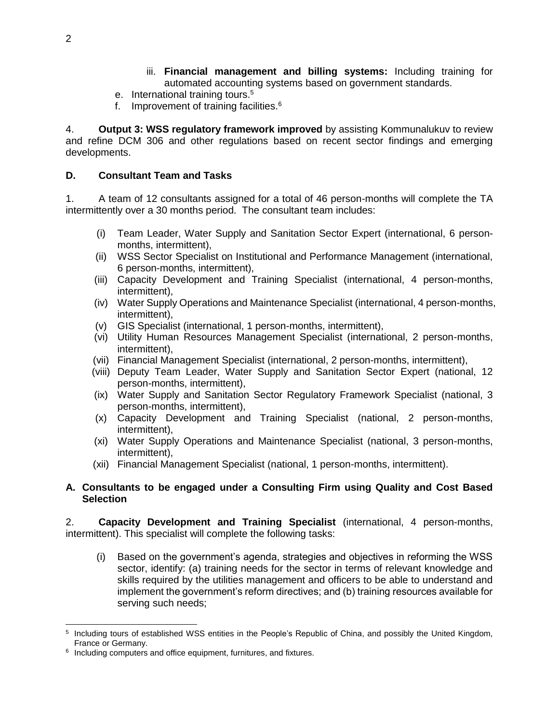- iii. **Financial management and billing systems:** Including training for automated accounting systems based on government standards.
- e. International training tours.<sup>5</sup>
- f. Improvement of training facilities.<sup>6</sup>

4. **Output 3: WSS regulatory framework improved** by assisting Kommunalukuv to review and refine DCM 306 and other regulations based on recent sector findings and emerging developments.

## **D. Consultant Team and Tasks**

1. A team of 12 consultants assigned for a total of 46 person-months will complete the TA intermittently over a 30 months period. The consultant team includes:

- (i) Team Leader, Water Supply and Sanitation Sector Expert (international, 6 personmonths, intermittent),
- (ii) WSS Sector Specialist on Institutional and Performance Management (international, 6 person-months, intermittent),
- (iii) Capacity Development and Training Specialist (international, 4 person-months, intermittent),
- (iv) Water Supply Operations and Maintenance Specialist (international, 4 person-months, intermittent),
- (v) GIS Specialist (international, 1 person-months, intermittent),
- (vi) Utility Human Resources Management Specialist (international, 2 person-months, intermittent),
- (vii) Financial Management Specialist (international, 2 person-months, intermittent),
- (viii) Deputy Team Leader, Water Supply and Sanitation Sector Expert (national, 12 person-months, intermittent),
- (ix) Water Supply and Sanitation Sector Regulatory Framework Specialist (national, 3 person-months, intermittent),
- (x) Capacity Development and Training Specialist (national, 2 person-months, intermittent),
- (xi) Water Supply Operations and Maintenance Specialist (national, 3 person-months, intermittent),
- (xii) Financial Management Specialist (national, 1 person-months, intermittent).

## **A. Consultants to be engaged under a Consulting Firm using Quality and Cost Based Selection**

2. **Capacity Development and Training Specialist** (international, 4 person-months, intermittent). This specialist will complete the following tasks:

(i) Based on the government's agenda, strategies and objectives in reforming the WSS sector, identify: (a) training needs for the sector in terms of relevant knowledge and skills required by the utilities management and officers to be able to understand and implement the government's reform directives; and (b) training resources available for serving such needs;

 <sup>5</sup> Including tours of established WSS entities in the People's Republic of China, and possibly the United Kingdom, France or Germany.

<sup>&</sup>lt;sup>6</sup> Including computers and office equipment, furnitures, and fixtures.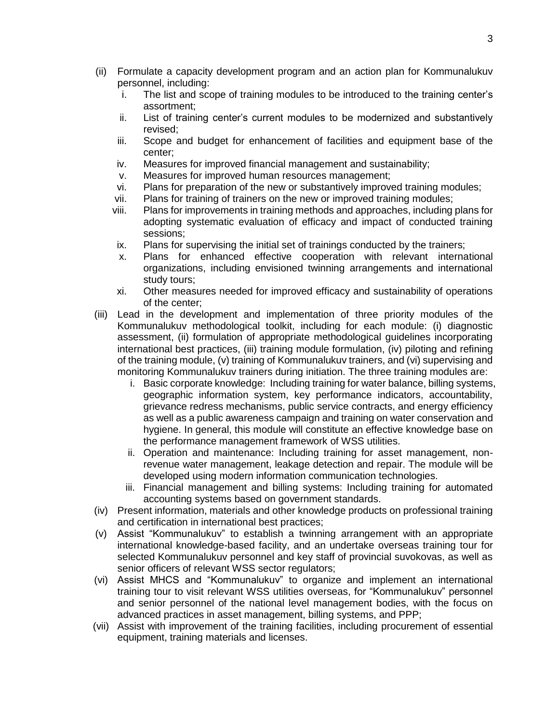- (ii) Formulate a capacity development program and an action plan for Kommunalukuv personnel, including:
	- i. The list and scope of training modules to be introduced to the training center's assortment;
	- ii. List of training center's current modules to be modernized and substantively revised;
	- iii. Scope and budget for enhancement of facilities and equipment base of the center;
	- iv. Measures for improved financial management and sustainability;
	- v. Measures for improved human resources management;
	- vi. Plans for preparation of the new or substantively improved training modules;
	- vii. Plans for training of trainers on the new or improved training modules;
	- viii. Plans for improvements in training methods and approaches, including plans for adopting systematic evaluation of efficacy and impact of conducted training sessions;
	- ix. Plans for supervising the initial set of trainings conducted by the trainers;
	- x. Plans for enhanced effective cooperation with relevant international organizations, including envisioned twinning arrangements and international study tours;
	- xi. Other measures needed for improved efficacy and sustainability of operations of the center;
- (iii) Lead in the development and implementation of three priority modules of the Kommunalukuv methodological toolkit, including for each module: (i) diagnostic assessment, (ii) formulation of appropriate methodological guidelines incorporating international best practices, (iii) training module formulation, (iv) piloting and refining of the training module, (v) training of Kommunalukuv trainers, and (vi) supervising and monitoring Kommunalukuv trainers during initiation. The three training modules are:
	- i. Basic corporate knowledge: Including training for water balance, billing systems, geographic information system, key performance indicators, accountability, grievance redress mechanisms, public service contracts, and energy efficiency as well as a public awareness campaign and training on water conservation and hygiene. In general, this module will constitute an effective knowledge base on the performance management framework of WSS utilities.
	- ii. Operation and maintenance: Including training for asset management, nonrevenue water management, leakage detection and repair. The module will be developed using modern information communication technologies.
	- iii. Financial management and billing systems: Including training for automated accounting systems based on government standards.
- (iv) Present information, materials and other knowledge products on professional training and certification in international best practices;
- (v) Assist "Kommunalukuv" to establish a twinning arrangement with an appropriate international knowledge-based facility, and an undertake overseas training tour for selected Kommunalukuv personnel and key staff of provincial suvokovas, as well as senior officers of relevant WSS sector regulators;
- (vi) Assist MHCS and "Kommunalukuv" to organize and implement an international training tour to visit relevant WSS utilities overseas, for "Kommunalukuv" personnel and senior personnel of the national level management bodies, with the focus on advanced practices in asset management, billing systems, and PPP;
- (vii) Assist with improvement of the training facilities, including procurement of essential equipment, training materials and licenses.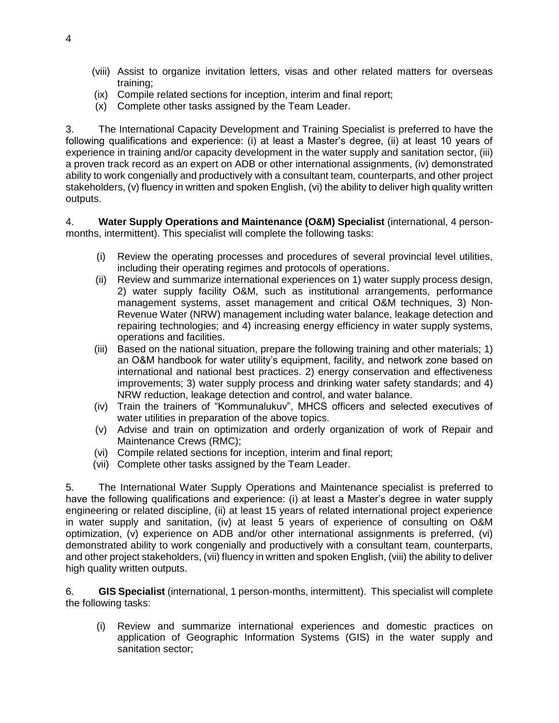- (viii) Assist to organize invitation letters, visas and other related matters for overseas training;
- (ix) Compile related sections for inception, interim and final report;
- (x) Complete other tasks assigned by the Team Leader.

3. The International Capacity Development and Training Specialist is preferred to have the following qualifications and experience: (i) at least a Master's degree, (ii) at least 10 years of experience in training and/or capacity development in the water supply and sanitation sector, (iii) a proven track record as an expert on ADB or other international assignments, (iv) demonstrated ability to work congenially and productively with a consultant team, counterparts, and other project stakeholders, (v) fluency in written and spoken English, (vi) the ability to deliver high quality written outputs.

4. **Water Supply Operations and Maintenance (O&M) Specialist** (international, 4 personmonths, intermittent). This specialist will complete the following tasks:

- (i) Review the operating processes and procedures of several provincial level utilities, including their operating regimes and protocols of operations.
- (ii) Review and summarize international experiences on 1) water supply process design, 2) water supply facility O&M, such as institutional arrangements, performance management systems, asset management and critical O&M techniques, 3) Non-Revenue Water (NRW) management including water balance, leakage detection and repairing technologies; and 4) increasing energy efficiency in water supply systems, operations and facilities.
- (iii) Based on the national situation, prepare the following training and other materials; 1) an O&M handbook for water utility's equipment, facility, and network zone based on international and national best practices. 2) energy conservation and effectiveness improvements; 3) water supply process and drinking water safety standards; and 4) NRW reduction, leakage detection and control, and water balance.
- (iv) Train the trainers of "Kommunalukuv", MHCS officers and selected executives of water utilities in preparation of the above topics.
- (v) Advise and train on optimization and orderly organization of work of Repair and Maintenance Crews (RMC);
- (vi) Compile related sections for inception, interim and final report;
- (vii) Complete other tasks assigned by the Team Leader.

5. The International Water Supply Operations and Maintenance specialist is preferred to have the following qualifications and experience: (i) at least a Master's degree in water supply engineering or related discipline, (ii) at least 15 years of related international project experience in water supply and sanitation, (iv) at least 5 years of experience of consulting on O&M optimization, (v) experience on ADB and/or other international assignments is preferred, (vi) demonstrated ability to work congenially and productively with a consultant team, counterparts, and other project stakeholders, (vii) fluency in written and spoken English, (viii) the ability to deliver high quality written outputs.

6. **GIS Specialist** (international, 1 person-months, intermittent). This specialist will complete the following tasks:

(i) Review and summarize international experiences and domestic practices on application of Geographic Information Systems (GIS) in the water supply and sanitation sector;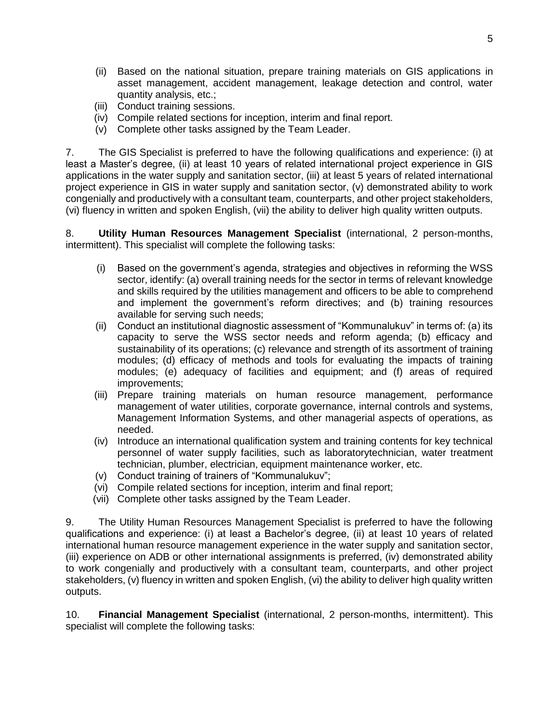- (ii) Based on the national situation, prepare training materials on GIS applications in asset management, accident management, leakage detection and control, water quantity analysis, etc.;
- (iii) Conduct training sessions.
- (iv) Compile related sections for inception, interim and final report.
- (v) Complete other tasks assigned by the Team Leader.

7. The GIS Specialist is preferred to have the following qualifications and experience: (i) at least a Master's degree, (ii) at least 10 years of related international project experience in GIS applications in the water supply and sanitation sector, (iii) at least 5 years of related international project experience in GIS in water supply and sanitation sector, (v) demonstrated ability to work congenially and productively with a consultant team, counterparts, and other project stakeholders, (vi) fluency in written and spoken English, (vii) the ability to deliver high quality written outputs.

8. **Utility Human Resources Management Specialist** (international, 2 person-months, intermittent). This specialist will complete the following tasks:

- (i) Based on the government's agenda, strategies and objectives in reforming the WSS sector, identify: (a) overall training needs for the sector in terms of relevant knowledge and skills required by the utilities management and officers to be able to comprehend and implement the government's reform directives; and (b) training resources available for serving such needs;
- (ii) Conduct an institutional diagnostic assessment of "Kommunalukuv" in terms of: (a) its capacity to serve the WSS sector needs and reform agenda; (b) efficacy and sustainability of its operations; (c) relevance and strength of its assortment of training modules; (d) efficacy of methods and tools for evaluating the impacts of training modules; (e) adequacy of facilities and equipment; and (f) areas of required improvements;
- (iii) Prepare training materials on human resource management, performance management of water utilities, corporate governance, internal controls and systems, Management Information Systems, and other managerial aspects of operations, as needed.
- (iv) Introduce an international qualification system and training contents for key technical personnel of water supply facilities, such as laboratorytechnician, water treatment technician, plumber, electrician, equipment maintenance worker, etc.
- (v) Conduct training of trainers of "Kommunalukuv";
- (vi) Compile related sections for inception, interim and final report;
- (vii) Complete other tasks assigned by the Team Leader.

9. The Utility Human Resources Management Specialist is preferred to have the following qualifications and experience: (i) at least a Bachelor's degree, (ii) at least 10 years of related international human resource management experience in the water supply and sanitation sector, (iii) experience on ADB or other international assignments is preferred, (iv) demonstrated ability to work congenially and productively with a consultant team, counterparts, and other project stakeholders, (v) fluency in written and spoken English, (vi) the ability to deliver high quality written outputs.

10. **Financial Management Specialist** (international, 2 person-months, intermittent). This specialist will complete the following tasks: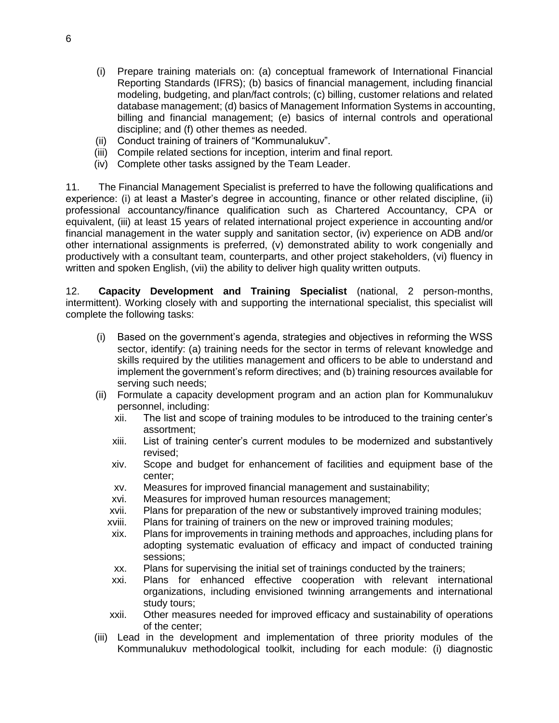- (i) Prepare training materials on: (a) conceptual framework of International Financial Reporting Standards (IFRS); (b) basics of financial management, including financial modeling, budgeting, and plan/fact controls; (c) billing, customer relations and related database management; (d) basics of Management Information Systems in accounting, billing and financial management; (e) basics of internal controls and operational discipline; and (f) other themes as needed.
- (ii) Conduct training of trainers of "Kommunalukuv".
- (iii) Compile related sections for inception, interim and final report.
- (iv) Complete other tasks assigned by the Team Leader.

11. The Financial Management Specialist is preferred to have the following qualifications and experience: (i) at least a Master's degree in accounting, finance or other related discipline, (ii) professional accountancy/finance qualification such as Chartered Accountancy, CPA or equivalent, (iii) at least 15 years of related international project experience in accounting and/or financial management in the water supply and sanitation sector, (iv) experience on ADB and/or other international assignments is preferred, (v) demonstrated ability to work congenially and productively with a consultant team, counterparts, and other project stakeholders, (vi) fluency in written and spoken English, (vii) the ability to deliver high quality written outputs.

12. **Capacity Development and Training Specialist** (national, 2 person-months, intermittent). Working closely with and supporting the international specialist, this specialist will complete the following tasks:

- (i) Based on the government's agenda, strategies and objectives in reforming the WSS sector, identify: (a) training needs for the sector in terms of relevant knowledge and skills required by the utilities management and officers to be able to understand and implement the government's reform directives; and (b) training resources available for serving such needs;
- (ii) Formulate a capacity development program and an action plan for Kommunalukuv personnel, including:
	- xii. The list and scope of training modules to be introduced to the training center's assortment;
	- xiii. List of training center's current modules to be modernized and substantively revised;
	- xiv. Scope and budget for enhancement of facilities and equipment base of the center;
	- xv. Measures for improved financial management and sustainability;
	- xvi. Measures for improved human resources management;
	- xvii. Plans for preparation of the new or substantively improved training modules;
	- xviii. Plans for training of trainers on the new or improved training modules;
	- xix. Plans for improvements in training methods and approaches, including plans for adopting systematic evaluation of efficacy and impact of conducted training sessions;
	- xx. Plans for supervising the initial set of trainings conducted by the trainers;
	- xxi. Plans for enhanced effective cooperation with relevant international organizations, including envisioned twinning arrangements and international study tours;
	- xxii. Other measures needed for improved efficacy and sustainability of operations of the center;
- (iii) Lead in the development and implementation of three priority modules of the Kommunalukuv methodological toolkit, including for each module: (i) diagnostic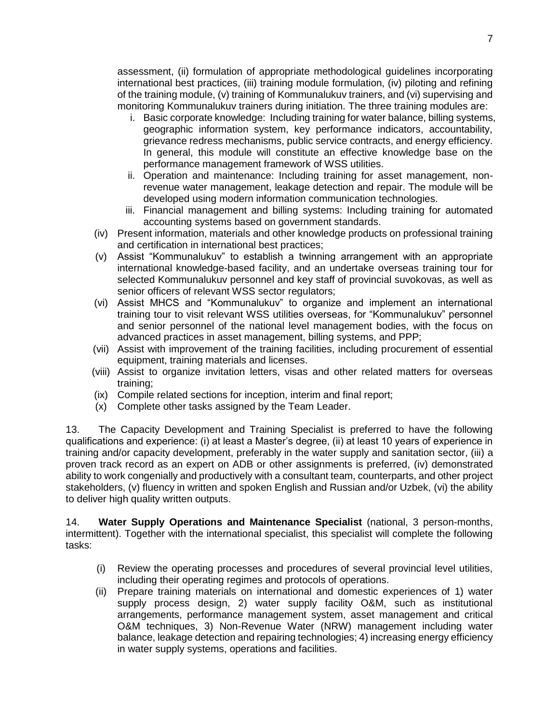assessment, (ii) formulation of appropriate methodological guidelines incorporating international best practices, (iii) training module formulation, (iv) piloting and refining of the training module, (v) training of Kommunalukuv trainers, and (vi) supervising and monitoring Kommunalukuv trainers during initiation. The three training modules are:

- i. Basic corporate knowledge: Including training for water balance, billing systems, geographic information system, key performance indicators, accountability, grievance redress mechanisms, public service contracts, and energy efficiency. In general, this module will constitute an effective knowledge base on the performance management framework of WSS utilities.
- ii. Operation and maintenance: Including training for asset management, nonrevenue water management, leakage detection and repair. The module will be developed using modern information communication technologies.
- iii. Financial management and billing systems: Including training for automated accounting systems based on government standards.
- (iv) Present information, materials and other knowledge products on professional training and certification in international best practices;
- (v) Assist "Kommunalukuv" to establish a twinning arrangement with an appropriate international knowledge-based facility, and an undertake overseas training tour for selected Kommunalukuv personnel and key staff of provincial suvokovas, as well as senior officers of relevant WSS sector regulators;
- (vi) Assist MHCS and "Kommunalukuv" to organize and implement an international training tour to visit relevant WSS utilities overseas, for "Kommunalukuv" personnel and senior personnel of the national level management bodies, with the focus on advanced practices in asset management, billing systems, and PPP;
- (vii) Assist with improvement of the training facilities, including procurement of essential equipment, training materials and licenses.
- (viii) Assist to organize invitation letters, visas and other related matters for overseas training;
- (ix) Compile related sections for inception, interim and final report;
- (x) Complete other tasks assigned by the Team Leader.

13. The Capacity Development and Training Specialist is preferred to have the following qualifications and experience: (i) at least a Master's degree, (ii) at least 10 years of experience in training and/or capacity development, preferably in the water supply and sanitation sector, (iii) a proven track record as an expert on ADB or other assignments is preferred, (iv) demonstrated ability to work congenially and productively with a consultant team, counterparts, and other project stakeholders, (v) fluency in written and spoken English and Russian and/or Uzbek, (vi) the ability to deliver high quality written outputs.

14. **Water Supply Operations and Maintenance Specialist** (national, 3 person-months, intermittent). Together with the international specialist, this specialist will complete the following tasks:

- (i) Review the operating processes and procedures of several provincial level utilities, including their operating regimes and protocols of operations.
- (ii) Prepare training materials on international and domestic experiences of 1) water supply process design, 2) water supply facility O&M, such as institutional arrangements, performance management system, asset management and critical O&M techniques, 3) Non-Revenue Water (NRW) management including water balance, leakage detection and repairing technologies; 4) increasing energy efficiency in water supply systems, operations and facilities.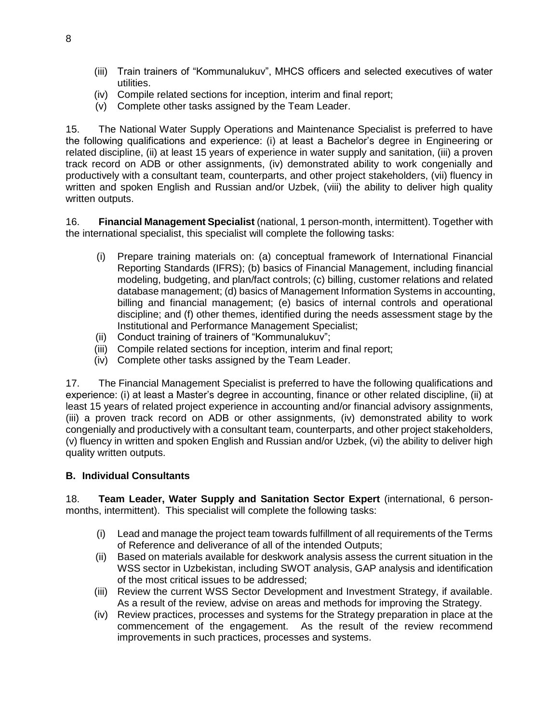- (iii) Train trainers of "Kommunalukuv", MHCS officers and selected executives of water utilities.
- (iv) Compile related sections for inception, interim and final report;
- (v) Complete other tasks assigned by the Team Leader.

15. The National Water Supply Operations and Maintenance Specialist is preferred to have the following qualifications and experience: (i) at least a Bachelor's degree in Engineering or related discipline, (ii) at least 15 years of experience in water supply and sanitation, (iii) a proven track record on ADB or other assignments, (iv) demonstrated ability to work congenially and productively with a consultant team, counterparts, and other project stakeholders, (vii) fluency in written and spoken English and Russian and/or Uzbek, (viii) the ability to deliver high quality written outputs.

16. **Financial Management Specialist** (national, 1 person-month, intermittent). Together with the international specialist, this specialist will complete the following tasks:

- (i) Prepare training materials on: (a) conceptual framework of International Financial Reporting Standards (IFRS); (b) basics of Financial Management, including financial modeling, budgeting, and plan/fact controls; (c) billing, customer relations and related database management; (d) basics of Management Information Systems in accounting, billing and financial management; (e) basics of internal controls and operational discipline; and (f) other themes, identified during the needs assessment stage by the Institutional and Performance Management Specialist;
- (ii) Conduct training of trainers of "Kommunalukuv";
- (iii) Compile related sections for inception, interim and final report;
- (iv) Complete other tasks assigned by the Team Leader.

17. The Financial Management Specialist is preferred to have the following qualifications and experience: (i) at least a Master's degree in accounting, finance or other related discipline, (ii) at least 15 years of related project experience in accounting and/or financial advisory assignments, (iii) a proven track record on ADB or other assignments, (iv) demonstrated ability to work congenially and productively with a consultant team, counterparts, and other project stakeholders, (v) fluency in written and spoken English and Russian and/or Uzbek, (vi) the ability to deliver high quality written outputs.

## **B. Individual Consultants**

18. **Team Leader, Water Supply and Sanitation Sector Expert** (international, 6 personmonths, intermittent). This specialist will complete the following tasks:

- (i) Lead and manage the project team towards fulfillment of all requirements of the Terms of Reference and deliverance of all of the intended Outputs;
- (ii) Based on materials available for deskwork analysis assess the current situation in the WSS sector in Uzbekistan, including SWOT analysis, GAP analysis and identification of the most critical issues to be addressed;
- (iii) Review the current WSS Sector Development and Investment Strategy, if available. As a result of the review, advise on areas and methods for improving the Strategy.
- (iv) Review practices, processes and systems for the Strategy preparation in place at the commencement of the engagement. As the result of the review recommend improvements in such practices, processes and systems.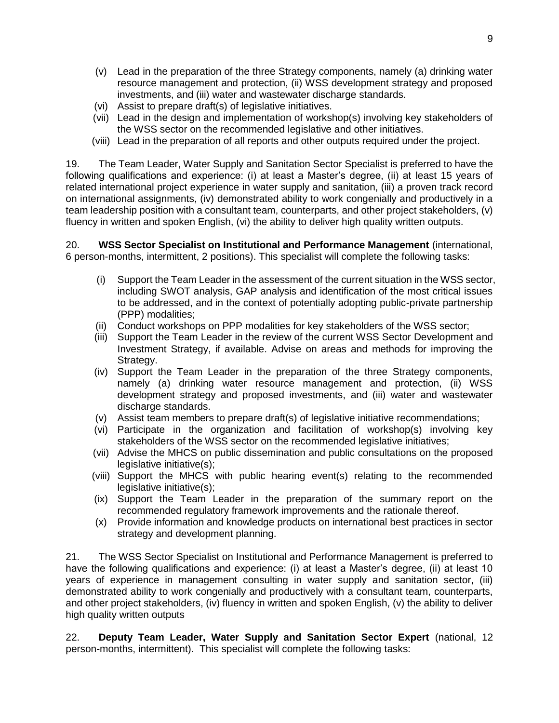- (v) Lead in the preparation of the three Strategy components, namely (a) drinking water resource management and protection, (ii) WSS development strategy and proposed investments, and (iii) water and wastewater discharge standards.
- (vi) Assist to prepare draft(s) of legislative initiatives.
- (vii) Lead in the design and implementation of workshop(s) involving key stakeholders of the WSS sector on the recommended legislative and other initiatives.
- (viii) Lead in the preparation of all reports and other outputs required under the project.

19. The Team Leader, Water Supply and Sanitation Sector Specialist is preferred to have the following qualifications and experience: (i) at least a Master's degree, (ii) at least 15 years of related international project experience in water supply and sanitation, (iii) a proven track record on international assignments, (iv) demonstrated ability to work congenially and productively in a team leadership position with a consultant team, counterparts, and other project stakeholders, (v) fluency in written and spoken English, (vi) the ability to deliver high quality written outputs.

20. **WSS Sector Specialist on Institutional and Performance Management** (international, 6 person-months, intermittent, 2 positions). This specialist will complete the following tasks:

- (i) Support the Team Leader in the assessment of the current situation in the WSS sector, including SWOT analysis, GAP analysis and identification of the most critical issues to be addressed, and in the context of potentially adopting public-private partnership (PPP) modalities;
- (ii) Conduct workshops on PPP modalities for key stakeholders of the WSS sector;
- (iii) Support the Team Leader in the review of the current WSS Sector Development and Investment Strategy, if available. Advise on areas and methods for improving the Strategy.
- (iv) Support the Team Leader in the preparation of the three Strategy components, namely (a) drinking water resource management and protection, (ii) WSS development strategy and proposed investments, and (iii) water and wastewater discharge standards.
- (v) Assist team members to prepare draft(s) of legislative initiative recommendations;
- (vi) Participate in the organization and facilitation of workshop(s) involving key stakeholders of the WSS sector on the recommended legislative initiatives;
- (vii) Advise the MHCS on public dissemination and public consultations on the proposed legislative initiative(s);
- (viii) Support the MHCS with public hearing event(s) relating to the recommended legislative initiative(s);
- (ix) Support the Team Leader in the preparation of the summary report on the recommended regulatory framework improvements and the rationale thereof.
- (x) Provide information and knowledge products on international best practices in sector strategy and development planning.

21. The WSS Sector Specialist on Institutional and Performance Management is preferred to have the following qualifications and experience: (i) at least a Master's degree, (ii) at least 10 years of experience in management consulting in water supply and sanitation sector, (iii) demonstrated ability to work congenially and productively with a consultant team, counterparts, and other project stakeholders, (iv) fluency in written and spoken English, (v) the ability to deliver high quality written outputs

22. **Deputy Team Leader, Water Supply and Sanitation Sector Expert** (national, 12 person-months, intermittent). This specialist will complete the following tasks: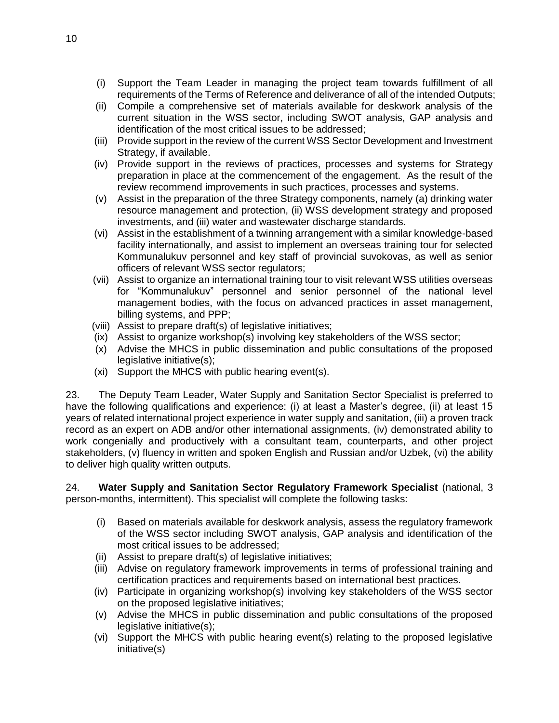- (i) Support the Team Leader in managing the project team towards fulfillment of all requirements of the Terms of Reference and deliverance of all of the intended Outputs;
- (ii) Compile a comprehensive set of materials available for deskwork analysis of the current situation in the WSS sector, including SWOT analysis, GAP analysis and identification of the most critical issues to be addressed;
- (iii) Provide support in the review of the current WSS Sector Development and Investment Strategy, if available.
- (iv) Provide support in the reviews of practices, processes and systems for Strategy preparation in place at the commencement of the engagement. As the result of the review recommend improvements in such practices, processes and systems.
- (v) Assist in the preparation of the three Strategy components, namely (a) drinking water resource management and protection, (ii) WSS development strategy and proposed investments, and (iii) water and wastewater discharge standards.
- (vi) Assist in the establishment of a twinning arrangement with a similar knowledge-based facility internationally, and assist to implement an overseas training tour for selected Kommunalukuv personnel and key staff of provincial suvokovas, as well as senior officers of relevant WSS sector regulators;
- (vii) Assist to organize an international training tour to visit relevant WSS utilities overseas for "Kommunalukuv" personnel and senior personnel of the national level management bodies, with the focus on advanced practices in asset management, billing systems, and PPP;
- (viii) Assist to prepare draft(s) of legislative initiatives;
- (ix) Assist to organize workshop(s) involving key stakeholders of the WSS sector;
- (x) Advise the MHCS in public dissemination and public consultations of the proposed legislative initiative(s);
- (xi) Support the MHCS with public hearing event(s).

23. The Deputy Team Leader, Water Supply and Sanitation Sector Specialist is preferred to have the following qualifications and experience: (i) at least a Master's degree, (ii) at least 15 years of related international project experience in water supply and sanitation, (iii) a proven track record as an expert on ADB and/or other international assignments, (iv) demonstrated ability to work congenially and productively with a consultant team, counterparts, and other project stakeholders, (v) fluency in written and spoken English and Russian and/or Uzbek, (vi) the ability to deliver high quality written outputs.

24. **Water Supply and Sanitation Sector Regulatory Framework Specialist** (national, 3 person-months, intermittent). This specialist will complete the following tasks:

- (i) Based on materials available for deskwork analysis, assess the regulatory framework of the WSS sector including SWOT analysis, GAP analysis and identification of the most critical issues to be addressed;
- (ii) Assist to prepare draft(s) of legislative initiatives;
- (iii) Advise on regulatory framework improvements in terms of professional training and certification practices and requirements based on international best practices.
- (iv) Participate in organizing workshop(s) involving key stakeholders of the WSS sector on the proposed legislative initiatives;
- (v) Advise the MHCS in public dissemination and public consultations of the proposed legislative initiative(s);
- (vi) Support the MHCS with public hearing event(s) relating to the proposed legislative initiative(s)